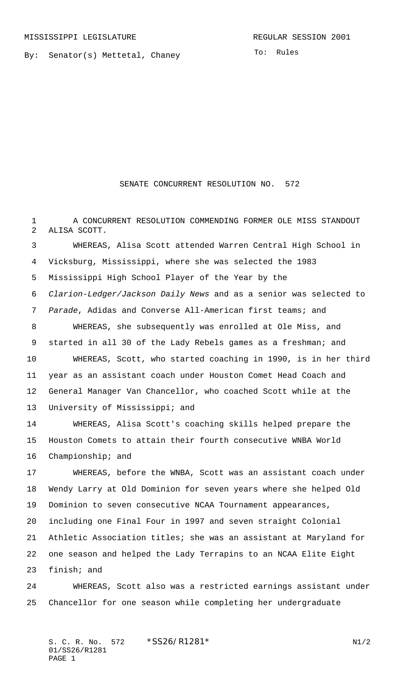By: Senator(s) Mettetal, Chaney

To: Rules

## SENATE CONCURRENT RESOLUTION NO. 572

1 A CONCURRENT RESOLUTION COMMENDING FORMER OLE MISS STANDOUT ALISA SCOTT.

 WHEREAS, Alisa Scott attended Warren Central High School in Vicksburg, Mississippi, where she was selected the 1983 Mississippi High School Player of the Year by the Clarion-Ledger/Jackson Daily News and as a senior was selected to Parade, Adidas and Converse All-American first teams; and WHEREAS, she subsequently was enrolled at Ole Miss, and 9 started in all 30 of the Lady Rebels games as a freshman; and WHEREAS, Scott, who started coaching in 1990, is in her third year as an assistant coach under Houston Comet Head Coach and General Manager Van Chancellor, who coached Scott while at the University of Mississippi; and

 WHEREAS, Alisa Scott's coaching skills helped prepare the Houston Comets to attain their fourth consecutive WNBA World Championship; and

 WHEREAS, before the WNBA, Scott was an assistant coach under Wendy Larry at Old Dominion for seven years where she helped Old Dominion to seven consecutive NCAA Tournament appearances, including one Final Four in 1997 and seven straight Colonial Athletic Association titles; she was an assistant at Maryland for one season and helped the Lady Terrapins to an NCAA Elite Eight finish; and

 WHEREAS, Scott also was a restricted earnings assistant under Chancellor for one season while completing her undergraduate